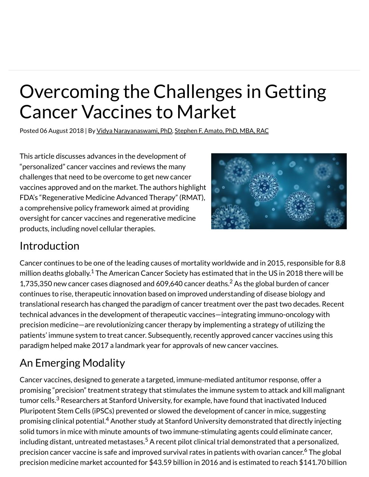# Overcoming the Challenges in Getting Cancer Vaccines to Market

Posted 06 August 2018 | By Vidya Narayanaswami, PhD, Stephen F. Amato, PhD, MBA, RAC

This article discusses advances in the development of "personalized" cancer vaccines and reviews the many challenges that need to be overcome to get new cancer vaccines approved and on the market. The authors highlight FDA's "Regenerative Medicine Advanced Therapy" (RMAT), a comprehensive policy framework aimed at providing oversight for cancer vaccines and regenerative medicine products, including novel cellular therapies.



#### Introduction

Cancer continues to be one of the leading causes of mortality worldwide and in 2015, responsible for 8.8 million deaths globally. $^{\rm 1}$  The American Cancer Society has estimated that in the US in 2018 there will be 1,735,350 new cancer cases diagnosed and 609,640 cancer deaths. $^2$  As the global burden of cancer continues to rise, therapeutic innovation based on improved understanding of disease biology and translational research has changed the paradigm of cancer treatment over the past two decades. Recent technical advances in the development of therapeutic vaccines—integrating immuno-oncology with precision medicine—are revolutionizing cancer therapy by implementing a strategy of utilizing the patients' immune system to treat cancer. Subsequently, recently approved cancer vaccines using this paradigm helped make 2017 a landmark year for approvals of new cancer vaccines.

# An Emerging Modality

Cancer vaccines, designed to generate a targeted, immune-mediated antitumor response, offer a promising "precision" treatment strategy that stimulates the immune system to attack and kill malignant tumor cells. $^3$  Researchers at Stanford University, for example, have found that inactivated Induced Pluripotent Stem Cells (iPSCs) prevented or slowed the development of cancer in mice, suggesting promising clinical potential.<sup>4</sup> Another study at Stanford University demonstrated that directly injecting solid tumors in mice with minute amounts of two immune-stimulating agents could eliminate cancer, including distant, untreated metastases.<sup>5</sup> A recent pilot clinical trial demonstrated that a personalized, precision cancer vaccine is safe and improved survival rates in patients with ovarian cancer.<sup>6</sup> The global precision medicine market accounted for \$43.59 billion in 2016 and is estimated to reach \$141.70 billion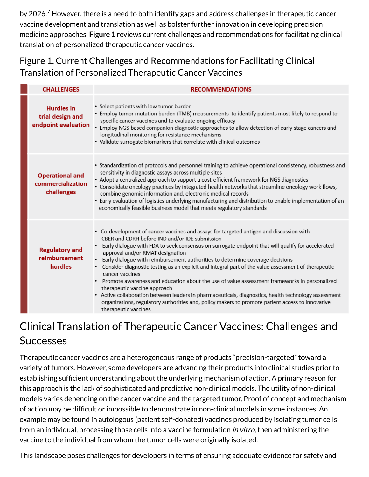by 2026.<sup>7</sup> However, there is a need to both identify gaps and address challenges in therapeutic cancer vaccine development and translation as well as bolster further innovation in developing precision medicine approaches. **Figure 1** reviews current challenges and recommendations for facilitating clinical translation of personalized therapeutic cancer vaccines.

Figure 1. Current Challenges and Recommendations for Facilitating Clinical Translation of Personalized Therapeutic Cancer Vaccines

| <b>CHALLENGES</b>                                            | <b>RECOMMENDATIONS</b>                                                                                                                                                                                                                                                                                                                                                                                                                                                                                                                                                                                                                                                                                                                                                                                                                                                        |
|--------------------------------------------------------------|-------------------------------------------------------------------------------------------------------------------------------------------------------------------------------------------------------------------------------------------------------------------------------------------------------------------------------------------------------------------------------------------------------------------------------------------------------------------------------------------------------------------------------------------------------------------------------------------------------------------------------------------------------------------------------------------------------------------------------------------------------------------------------------------------------------------------------------------------------------------------------|
| <b>Hurdles</b> in<br>trial design and<br>endpoint evaluation | • Select patients with low tumor burden<br>• Employ tumor mutation burden (TMB) measurements to identify patients most likely to respond to<br>specific cancer vaccines and to evaluate ongoing efficacy<br>• Employ NGS-based companion diagnostic approaches to allow detection of early-stage cancers and<br>longitudinal monitoring for resistance mechanisms<br>• Validate surrogate biomarkers that correlate with clinical outcomes                                                                                                                                                                                                                                                                                                                                                                                                                                    |
| <b>Operational and</b><br>commercialization<br>challenges    | • Standardization of protocols and personnel training to achieve operational consistency, robustness and<br>sensitivity in diagnostic assays across multiple sites<br>• Adopt a centralized approach to support a cost-efficient framework for NGS diagnostics<br>• Consolidate oncology practices by integrated health networks that streamline oncology work flows,<br>combine genomic information and, electronic medical records<br>• Early evaluation of logistics underlying manufacturing and distribution to enable implementation of an<br>economically feasible business model that meets regulatory standards                                                                                                                                                                                                                                                      |
| <b>Regulatory and</b><br>reimbursement<br>hurdles            | • Co-development of cancer vaccines and assays for targeted antigen and discussion with<br>CBER and CDRH before IND and/or IDE submission<br>Early dialogue with FDA to seek consensus on surrogate endpoint that will qualify for accelerated<br>approval and/or RMAT designation<br>Early dialogue with reimbursement authorities to determine coverage decisions<br>٠<br>• Consider diagnostic testing as an explicit and integral part of the value assessment of therapeutic<br>cancer vaccines<br>Promote awareness and education about the use of value assessment frameworks in personalized<br>٠<br>therapeutic vaccine approach<br>• Active collaboration between leaders in pharmaceuticals, diagnostics, health technology assessment<br>organizations, regulatory authorities and, policy makers to promote patient access to innovative<br>therapeutic vaccines |

## Clinical Translation of Therapeutic Cancer Vaccines: Challenges and **Successes**

Therapeutic cancer vaccines are a heterogeneous range of products "precision-targeted" toward a variety of tumors. However, some developers are advancing their products into clinical studies prior to establishing sufficient understanding about the underlying mechanism of action. A primary reason for this approach is the lack of sophisticated and predictive non-clinical models. The utility of non-clinical models varies depending on the cancer vaccine and the targeted tumor. Proof of concept and mechanism of action may be difficult or impossible to demonstrate in non-clinical models in some instances. An example may be found in autologous (patient self-donated) vaccines produced by isolating tumor cells from an individual, processing those cells into a vaccine formulation *in vitro*, then administering the vaccine to the individual from whom the tumor cells were originally isolated.

This landscape poses challenges for developers in terms of ensuring adequate evidence for safety and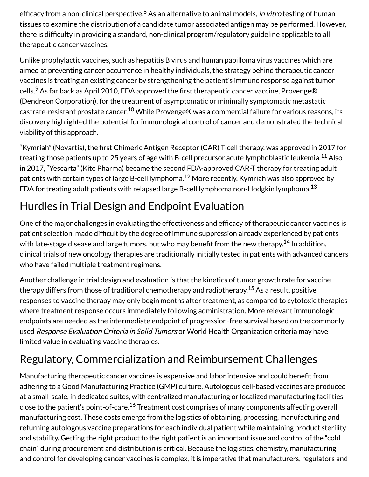efficacy from a non-clinical perspective.<sup>8</sup> As an alternative to animal models, *in vitro* testing of human tissues to examine the distribution of a candidate tumor associated antigen may be performed. However, there is difficulty in providing a standard, non-clinical program/regulatory guideline applicable to all therapeutic cancer vaccines.

Unlike prophylactic vaccines, such as hepatitis B virus and human papilloma virus vaccines which are aimed at preventing cancer occurrence in healthy individuals, the strategy behind therapeutic cancer vaccines is treating an existing cancer by strengthening the patient's immune response against tumor cells. $^9$  As far back as April 2010, FDA approved the first therapeutic cancer vaccine, Provenge® (Dendreon Corporation), for the treatment of asymptomatic or minimally symptomatic metastatic castrate-resistant prostate cancer. $^{10}$  While Provenge® was a commercial failure for various reasons, its discovery highlighted the potential for immunological control of cancer and demonstrated the technical viability of this approach.

"Kymriah" (Novartis), the first Chimeric Antigen Receptor (CAR) T-cell therapy, was approved in 2017 for treating those patients up to 25 years of age with B-cell precursor acute lymphoblastic leukemia. $^{\rm 11}$  Also in 2017, "Yescarta" (Kite Pharma) became the second FDA-approved CAR-T therapy for treating adult patients with certain types of large B-cell lymphoma.<sup>12</sup> More recently, Kymriah was also approved by FDA for treating adult patients with relapsed large B-cell lymphoma non-Hodgkin lymphoma. $^{\rm 13}$ 

## Hurdles in Trial Design and Endpoint Evaluation

One of the major challenges in evaluating the effectiveness and efficacy of therapeutic cancer vaccines is patient selection, made difficult by the degree of immune suppression already experienced by patients with late-stage disease and large tumors, but who may benefit from the new therapy.<sup>14</sup> In addition, clinical trials of new oncology therapies are traditionally initially tested in patients with advanced cancers who have failed multiple treatment regimens.

Another challenge in trial design and evaluation is that the kinetics of tumor growth rate for vaccine therapy differs from those of traditional chemotherapy and radiotherapy. $^{15}$  As a result, positive responses to vaccine therapy may only begin months after treatment, as compared to cytotoxic therapies where treatment response occurs immediately following administration. More relevant immunologic endpoints are needed as the intermediate endpoint of progression-free survival based on the commonly used Response Evaluation Criteria in Solid Tumors or World Health Organization criteria may have limited value in evaluating vaccine therapies.

## Regulatory, Commercialization and Reimbursement Challenges

Manufacturing therapeutic cancer vaccines is expensive and labor intensive and could benefit from adhering to a Good Manufacturing Practice (GMP) culture. Autologous cell-based vaccines are produced at a small-scale, in dedicated suites, with centralized manufacturing or localized manufacturing facilities close to the patient's point-of-care.<sup>16</sup> Treatment cost comprises of many components affecting overall manufacturing cost. These costs emerge from the logistics of obtaining, processing, manufacturing and returning autologous vaccine preparations for each individual patient while maintaining product sterility and stability. Getting the right product to the right patient is an important issue and control of the "cold chain" during procurement and distribution is critical. Because the logistics, chemistry, manufacturing and control for developing cancer vaccines is complex, it is imperative that manufacturers, regulators and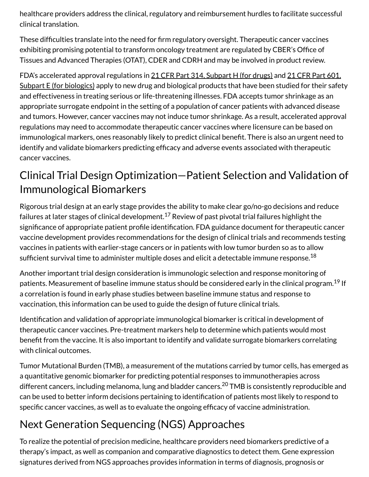healthcare providers address the clinical, regulatory and reimbursement hurdles to facilitate successful clinical translation.

These difficulties translate into the need for firm regulatory oversight. Therapeutic cancer vaccines exhibiting promising potential to transform oncology treatment are regulated by CBER's Office of Tissues and Advanced Therapies (OTAT), CDER and CDRH and may be involved in product review.

FDA's accelerated approval regulations in 21 CFR Part 314, Subpart H (for drugs) and 21 CFR Part 601. Subpart E (for biologics) apply to new drug and biological products that have been studied for their safety and effectiveness in treating serious or life-threatening illnesses. FDA accepts tumor shrinkage as an appropriate surrogate endpoint in the setting of a population of cancer patients with advanced disease and tumors. However, cancer vaccines may not induce tumor shrinkage. As a result, accelerated approval regulations may need to accommodate therapeutic cancer vaccines where licensure can be based on immunological markers, ones reasonably likely to predict clinical benefit. There is also an urgent need to identify and validate biomarkers predicting efficacy and adverse events associated with therapeutic cancer vaccines.

## Clinical Trial Design Optimization—Patient Selection and Validation of Immunological Biomarkers

Rigorous trial design at an early stage provides the ability to make clear go/no-go decisions and reduce failures at later stages of clinical development. $^{17}$  Review of past pivotal trial failures highlight the significance of appropriate patient profile identification. FDA guidance document for therapeutic cancer vaccine development provides recommendations for the design of clinical trials and recommends testing vaccines in patients with earlier-stage cancers or in patients with low tumor burden so as to allow sufficient survival time to administer multiple doses and elicit a detectable immune response. $^{18}\,$ 

Another important trial design consideration is immunologic selection and response monitoring of patients. Measurement of baseline immune status should be considered early in the clinical program.<sup>19</sup> If a correlation is found in early phase studies between baseline immune status and response to vaccination, this information can be used to guide the design of future clinical trials.

Identification and validation of appropriate immunological biomarker is critical in development of therapeutic cancer vaccines. Pre-treatment markers help to determine which patients would most benefit from the vaccine. It is also important to identify and validate surrogate biomarkers correlating with clinical outcomes.

Tumor Mutational Burden (TMB), a measurement of the mutations carried by tumor cells, has emerged as a quantitative genomic biomarker for predicting potential responses to immunotherapies across different cancers, including melanoma, lung and bladder cancers.<sup>20</sup> TMB is consistently reproducible and can be used to better inform decisions pertaining to identification of patients most likely to respond to specific cancer vaccines, as well as to evaluate the ongoing efficacy of vaccine administration.

# Next Generation Sequencing (NGS) Approaches

To realize the potential of precision medicine, healthcare providers need biomarkers predictive of a therapy's impact, as well as companion and comparative diagnostics to detect them. Gene expression signatures derived from NGS approaches provides information in terms of diagnosis, prognosis or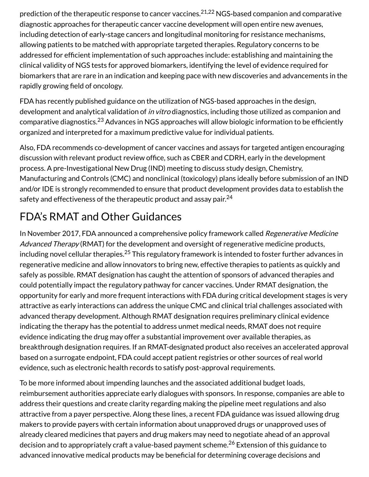prediction of the therapeutic response to cancer vaccines. $^{21,22}$  NGS-based companion and comparative diagnostic approaches for therapeutic cancer vaccine development will open entire new avenues, including detection of early‐stage cancers and longitudinal monitoring for resistance mechanisms, allowing patients to be matched with appropriate targeted therapies. Regulatory concerns to be addressed for efficient implementation of such approaches include: establishing and maintaining the clinical validity of NGS tests for approved biomarkers, identifying the level of evidence required for biomarkers that are rare in an indication and keeping pace with new discoveries and advancements in the rapidly growing field of oncology.

FDA has recently published guidance on the utilization of NGS-based approaches in the design, development and analytical validation of in vitro diagnostics, including those utilized as companion and comparative diagnostics. $^{23}$  Advances in NGS approaches will allow biologic information to be efficiently organized and interpreted for a maximum predictive value for individual patients.

Also, FDA recommends co-development of cancer vaccines and assays for targeted antigen encouraging discussion with relevant product review office, such as CBER and CDRH, early in the development process. A pre-Investigational New Drug (IND) meeting to discuss study design, Chemistry, Manufacturing and Controls (CMC) and nonclinical (toxicology) plans ideally before submission of an IND and/or IDE is strongly recommended to ensure that product development provides data to establish the safety and effectiveness of the therapeutic product and assay pair. $^{24}$ 

# FDA's RMAT and Other Guidances

In November 2017, FDA announced a comprehensive policy framework called Regenerative Medicine Advanced Therapy (RMAT) for the development and oversight of regenerative medicine products, including novel cellular therapies. $^{25}$  This regulatory framework is intended to foster further advances in regenerative medicine and allow innovators to bring new, effective therapies to patients as quickly and safely as possible. RMAT designation has caught the attention of sponsors of advanced therapies and could potentially impact the regulatory pathway for cancer vaccines. Under RMAT designation, the opportunity for early and more frequent interactions with FDA during critical development stages is very attractive as early interactions can address the unique CMC and clinical trial challenges associated with advanced therapy development. Although RMAT designation requires preliminary clinical evidence indicating the therapy has the potential to address unmet medical needs, RMAT does not require evidence indicating the drug may offer a substantial improvement over available therapies, as breakthrough designation requires. If an RMAT-designated product also receives an accelerated approval based on a surrogate endpoint, FDA could accept patient registries or other sources of real world evidence, such as electronic health records to satisfy post-approval requirements.

To be more informed about impending launches and the associated additional budget loads, reimbursement authorities appreciate early dialogues with sponsors. In response, companies are able to address their questions and create clarity regarding making the pipeline meet regulations and also attractive from a payer perspective. Along these lines, a recent FDA guidance was issued allowing drug makers to provide payers with certain information about unapproved drugs or unapproved uses of already cleared medicines that payers and drug makers may need to negotiate ahead of an approval decision and to appropriately craft a value-based payment scheme.<sup>26</sup> Extension of this guidance to advanced innovative medical products may be beneficial for determining coverage decisions and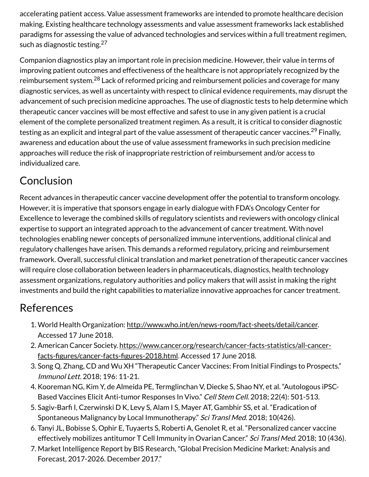accelerating patient access. Value assessment frameworks are intended to promote healthcare decision making. Existing healthcare technology assessments and value assessment frameworks lack established paradigms for assessing the value of advanced technologies and services within a full treatment regimen, such as diagnostic testing.<sup>27</sup>

Companion diagnostics play an important role in precision medicine. However, their value in terms of improving patient outcomes and effectiveness of the healthcare is not appropriately recognized by the reimbursement system.<sup>28</sup> Lack of reformed pricing and reimbursement policies and coverage for many diagnostic services, as well as uncertainty with respect to clinical evidence requirements, may disrupt the advancement of such precision medicine approaches. The use of diagnostic tests to help determine which therapeutic cancer vaccines will be most effective and safest to use in any given patient is a crucial element of the complete personalized treatment regimen. As a result, it is critical to consider diagnostic testing as an explicit and integral part of the value assessment of therapeutic cancer vaccines.<sup>29</sup> Finally, awareness and education about the use of value assessment frameworks in such precision medicine approaches will reduce the risk of inappropriate restriction of reimbursement and/or access to individualized care.

## Conclusion

Recent advances in therapeutic cancer vaccine development offer the potential to transform oncology. However, it is imperative that sponsors engage in early dialogue with FDA's Oncology Center for Excellence to leverage the combined skills of regulatory scientists and reviewers with oncology clinical expertise to support an integrated approach to the advancement of cancer treatment. With novel technologies enabling newer concepts of personalized immune interventions, additional clinical and regulatory challenges have arisen. This demands a reformed regulatory, pricing and reimbursement framework. Overall, successful clinical translation and market penetration of therapeutic cancer vaccines will require close collaboration between leaders in pharmaceuticals, diagnostics, health technology assessment organizations, regulatory authorities and policy makers that will assist in making the right investments and build the right capabilities to materialize innovative approaches for cancer treatment.

#### References

- 1. World Health Organization: http://www.who.int/en/news-room/fact-sheets/detail/cancer. Accessed 17 June 2018.
- 2. American Cancer Society. https://www.cancer.org/research/cancer-facts-statistics/all-cancerfacts-figures/cancer-facts-figures-2018.html. Accessed 17 June 2018.
- 3. Song Q, Zhang, CD and Wu XH "Therapeutic Cancer Vaccines: From Initial Findings to Prospects." Immunol Lett. 2018; 196: 11-21.
- 4. Kooreman NG, Kim Y, de Almeida PE, Termglinchan V, Diecke S, Shao NY, et al. "Autologous iPSC-Based Vaccines Elicit Anti-tumor Responses In Vivo." Cell Stem Cell. 2018; 22(4): 501-513.
- 5. Sagiv-Barfi I, Czerwinski D K, Levy S, Alam I S, Mayer AT, Gambhir SS, et al. "Eradication of Spontaneous Malignancy by Local Immunotherapy." Sci Transl Med. 2018; 10(426).
- 6. Tanyi JL, Bobisse S, Ophir E, Tuyaerts S, Roberti A, Genolet R, et al. "Personalized cancer vaccine effectively mobilizes antitumor T Cell Immunity in Ovarian Cancer." Sci Transl Med. 2018; 10 (436).
- Market Intelligence Report by BIS Research, "Global Precision Medicine Market: Analysis and 7. Forecast, 2017-2026. December 2017."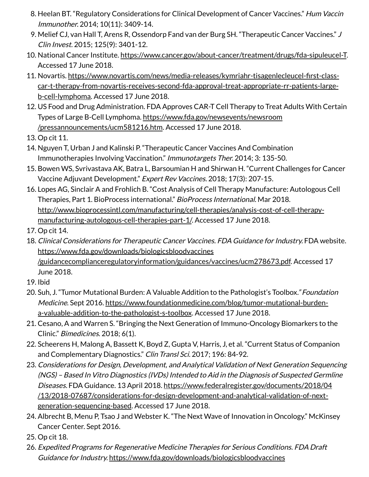- 8. Heelan BT. "Regulatory Considerations for Clinical Development of Cancer Vaccines." Hum Vaccin Immunother. 2014; 10(11): 3409-14.
- 9. Melief CJ, van Hall T, Arens R, Ossendorp Fand van der Burg SH. "Therapeutic Cancer Vaccines." J Clin Invest. 2015; 125(9): 3401-12.
- 10. National Cancer Institute. https://www.cancer.gov/about-cancer/treatment/drugs/fda-sipuleucel-T. Accessed 17 June 2018.
- 11. Novartis. https://www.novartis.com/news/media-releases/kymriahr-tisagenlecleucel-first-classcar-t-therapy-from-novartis-receives-second-fda-approval-treat-appropriate-rr-patients-largeb-cell-lymphoma. Accessed 17 June 2018.
- 12. US Food and Drug Administration. FDA Approves CAR-T Cell Therapy to Treat Adults With Certain Types of Large B-Cell Lymphoma. https://www.fda.gov/newsevents/newsroom /pressannouncements/ucm581216.htm. Accessed 17 June 2018.
- 13. Op cit 11.
- 14. Nguyen T, Urban J and Kalinski P. "Therapeutic Cancer Vaccines And Combination Immunotherapies Involving Vaccination." Immunotargets Ther. 2014; 3: 135-50.
- 15. Bowen WS, Svrivastava AK, Batra L, Barsoumian H and Shirwan H. "Current Challenges for Cancer Vaccine Adjuvant Development." Expert Rev Vaccines. 2018; 17(3): 207-15.
- 16. Lopes AG, Sinclair A and Frohlich B. "Cost Analysis of Cell Therapy Manufacture: Autologous Cell Therapies, Part 1. BioProcess international." BioProcess International. Mar 2018. http://www.bioprocessintl.com/manufacturing/cell-therapies/analysis-cost-of-cell-therapymanufacturing-autologous-cell-therapies-part-1/. Accessed 17 June 2018.
- 17. Op cit 14.
- 18. Clinical Considerations for Therapeutic Cancer Vaccines. FDA Guidance for Industry. FDA website. https://www.fda.gov/downloads/biologicsbloodvaccines /guidancecomplianceregulatoryinformation/guidances/vaccines/ucm278673.pdf. Accessed 17 June 2018.
- 19. Ibid
- 20. Suh, J. "Tumor Mutational Burden: A Valuable Addition to the Pathologist's Toolbox." Foundation Medicine. Sept 2016. https://www.foundationmedicine.com/blog/tumor-mutational-burdena-valuable-addition-to-the-pathologist-s-toolbox. Accessed 17 June 2018.
- 21. Cesano, A and Warren S. "Bringing the Next Generation of Immuno-Oncology Biomarkers to the Clinic." Bimedicines. 2018; 6(1).
- 22. Scheerens H, Malong A, Bassett K, Boyd Z, Gupta V, Harris, J, et al. "Current Status of Companion and Complementary Diagnostics." Clin Transl Sci. 2017; 196: 84-92.
- 23. Considerations for Design, Development, and Analytical Validation of Next Generation Sequencing (NGS) – Based In Vitro Diagnostics (IVDs) Intended to Aid in the Diagnosis of Suspected Germline Diseases. FDA Guidance. 13 April 2018. https://www.federalregister.gov/documents/2018/04 /13/2018-07687/considerations-for-design-development-and-analytical-validation-of-nextgeneration-sequencing-based. Accessed 17 June 2018.
- 24. Albrecht B, Menu P, Tsao J and Webster K. "The Next Wave of Innovation in Oncology." McKinsey Cancer Center. Sept 2016.
- 25. Op cit 18.
- 26. Expedited Programs for Regenerative Medicine Therapies for Serious Conditions. FDA Draft Guidance for Industry. https://www.fda.gov/downloads/biologicsbloodvaccines